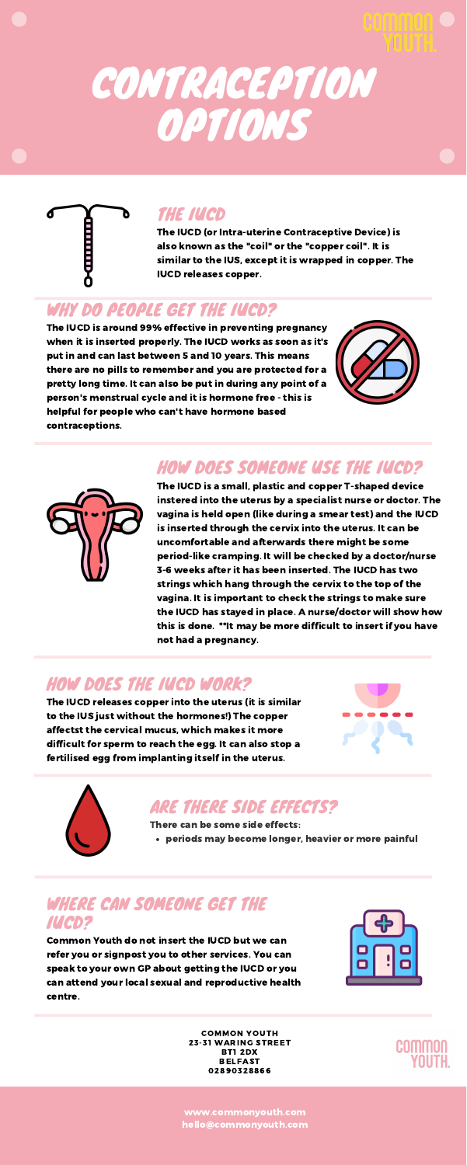#### HOW DOES SOMEONE USE THE IUCD?

The IUCD is a small, plastic and copper T-shaped device instered into the uterus by a specialist nurse or doctor. The vagina is held open (like during a smear test) and the IUCD is inserted through the cervix into the uterus. It can be uncomfortable and afterwards there might be some period-like cramping. It will be checked by a doctor/nurse 3-6 weeks after it has been inserted. The IUCD has two strings which hang through the cervix to the top of the vagina. It is important to check the strings to make sure the IUCD has stayed in place. A nurse/doctor will show how this is done. \*\*It may be more difficult to insert if you have not had a pregnancy.

# CONTRACEPTION OPTIONS



The IUCD is around 99% effective in preventing pregnancy when it is inserted properly. The IUCD works as soon as it's put in and can last between 5 and 10 years. This means there are no pills to remember and you are protected for a pretty long time. It can also be put in during any point of a person's menstrual cycle and it is hormone free - this is helpful for people who can't have hormone based contraceptions.





#### ARE THERE SIDE EFFECTS?

periods may become longer, heavier or more painful

There can be some side effects:

#### WHERE CAN SOMEONE GET THE IUCD?

Common Youth do not insert the IUCD but we can refer you or signpost you to other services. You can speak to your own GP about getting the IUCD or you can attend your local sexual and reproductive health centre.



#### THE IUCD

The IUCD (or Intra-uterine Contraceptive Device) is also known as the "coil" or the "copper coil". It is similar to the IUS, except it is wrapped in copper. The IUCD releases copper.

#### WHY DO PEOPLE GET THE IUCD?

### HOW DOES THE IUCD WORK?



The IUCD releases copper into the uterus (it is similar to the IUS just without the hormones!) The copper affectst the cervical mucus, which makes it more difficult for sperm to reach the egg. It can also stop a fertilised egg from implanting itself in the uterus.





COMMON YOUTH 23-31 WARING STREET BT1 2DX BELFAST 02890328866

www.commonyouth.com hello@commonyouth.com